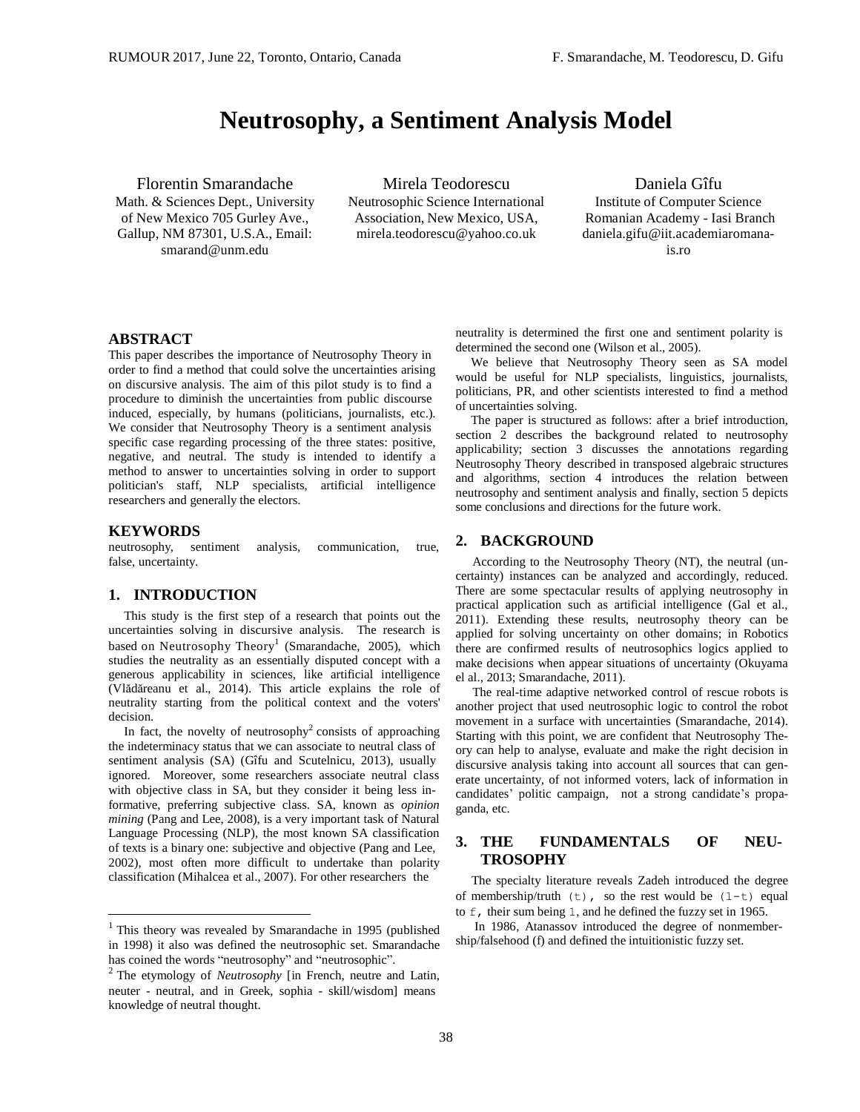# **Neutrosophy, a Sentiment Analysis Model**

Florentin Smarandache

Math. & Sciences Dept., University of New Mexico 705 Gurley Ave., Gallup, NM 87301, U.S.A., Email: [smarand@unm.edu](mailto:smarand@unm.edu)

Mirela Teodorescu Neutrosophic Science International Association, New Mexico, USA, [mirela.teodorescu@yahoo.co.uk](mailto:mirela.teodorescu@yahoo.co.uk)

Daniela Gîfu Institute of Computer Science Romanian Academy - Iasi Branch [daniela.gifu@iit.academiaromana](mailto:daniela.gifu@iit.academiaromana-is.ro)[is.ro](mailto:daniela.gifu@iit.academiaromana-is.ro)

## **ABSTRACT**

This paper describes the importance of Neutrosophy Theory in order to find a method that could solve the uncertainties arising on discursive analysis. The aim of this pilot study is to find a procedure to diminish the uncertainties from public discourse induced, especially, by humans (politicians, journalists, etc.). We consider that Neutrosophy Theory is a sentiment analysis specific case regarding processing of the three states: positive, negative, and neutral. The study is intended to identify a method to answer to uncertainties solving in order to support politician's staff, NLP specialists, artificial intelligence researchers and generally the electors.

#### **KEYWORDS**

neutrosophy, sentiment analysis, communication, true, false, uncertainty.

## **1. INTRODUCTION**

This study is the first step of a research that points out the uncertainties solving in discursive analysis. The research is based on Neutrosophy Theory<sup>1</sup> (Smarandache, 2005), which studies the neutrality as an essentially disputed concept with a generous applicability in sciences, like artificial intelligence (Vlădăreanu et al., 2014). This article explains the role of neutrality starting from the political context and the voters' decision.

In fact, the novelty of neutrosophy<sup>2</sup> consists of approaching the indeterminacy status that we can associate to neutral class of sentiment analysis (SA) (Gîfu and Scutelnicu, 2013), usually ignored. Moreover, some researchers associate neutral class with objective class in SA, but they consider it being less informative, preferring subjective class. SA, known as *opinion mining* (Pang and Lee, 2008), is a very important task of Natural Language Processing (NLP), the most known SA classification of texts is a binary one: subjective and objective (Pang and Lee, 2002), most often more difficult to undertake than polarity classification (Mihalcea et al., 2007). For other researchers the

neutrality is determined the first one and sentiment polarity is determined the second o[ne \(Wilson](http://acl.ldc.upenn.edu/H/H05/H05-1044.pdf) et al., 2005).

We believe that Neutrosophy Theory seen as SA model would be useful for NLP specialists, linguistics, journalists, politicians, PR, and other scientists interested to find a method of uncertainties solving.

The paper is structured as follows: after a brief introduction, section 2 describes the background related to neutrosophy applicability; section 3 discusses the annotations regarding Neutrosophy Theory described in transposed algebraic structures and algorithms, section 4 introduces the relation between neutrosophy and sentiment analysis and finally, section 5 depicts some conclusions and directions for the future work.

#### **2. BACKGROUND**

According to the Neutrosophy Theory (NT), the neutral (uncertainty) instances can be analyzed and accordingly, reduced. There are some spectacular results of applying neutrosophy in practical application such as artificial intelligence (Gal et al., 2011). Extending these results, neutrosophy theory can be applied for solving uncertainty on other domains; in Robotics there are confirmed results of neutrosophics logics applied to make decisions when appear situations of uncertainty (Okuyama el al., 2013; Smarandache, 2011).

The real-time adaptive networked control of rescue robots is another project that used neutrosophic logic to control the robot movement in a surface with uncertainties (Smarandache, 2014). Starting with this point, we are confident that Neutrosophy Theory can help to analyse, evaluate and make the right decision in discursive analysis taking into account all sources that can generate uncertainty, of not informed voters, lack of information in candidates' politic campaign, not a strong candidate's propaganda, etc.

# **3. THE FUNDAMENTALS OF NEU-TROSOPHY**

The specialty literature reveals Zadeh introduced the degree of membership/truth  $(t)$ , so the rest would be  $(1-t)$  equal to f, their sum being 1, and he defined the fuzzy set in 1965.

In 1986, Atanassov introduced the degree of nonmembership/falsehood (f) and defined the intuitionistic fuzzy set.

<sup>&</sup>lt;sup>1</sup> This theory was revealed by Smarandache in 1995 (published in 1998) it also was defined the neutrosophic set. Smarandache has coined the words "neutrosophy" and "neutrosophic".

<sup>&</sup>lt;sup>2</sup> The etymology of *Neutrosophy* [in French, neutre and Latin, neuter - neutral, and in Greek, sophia - skill/wisdom] means knowledge of neutral thought.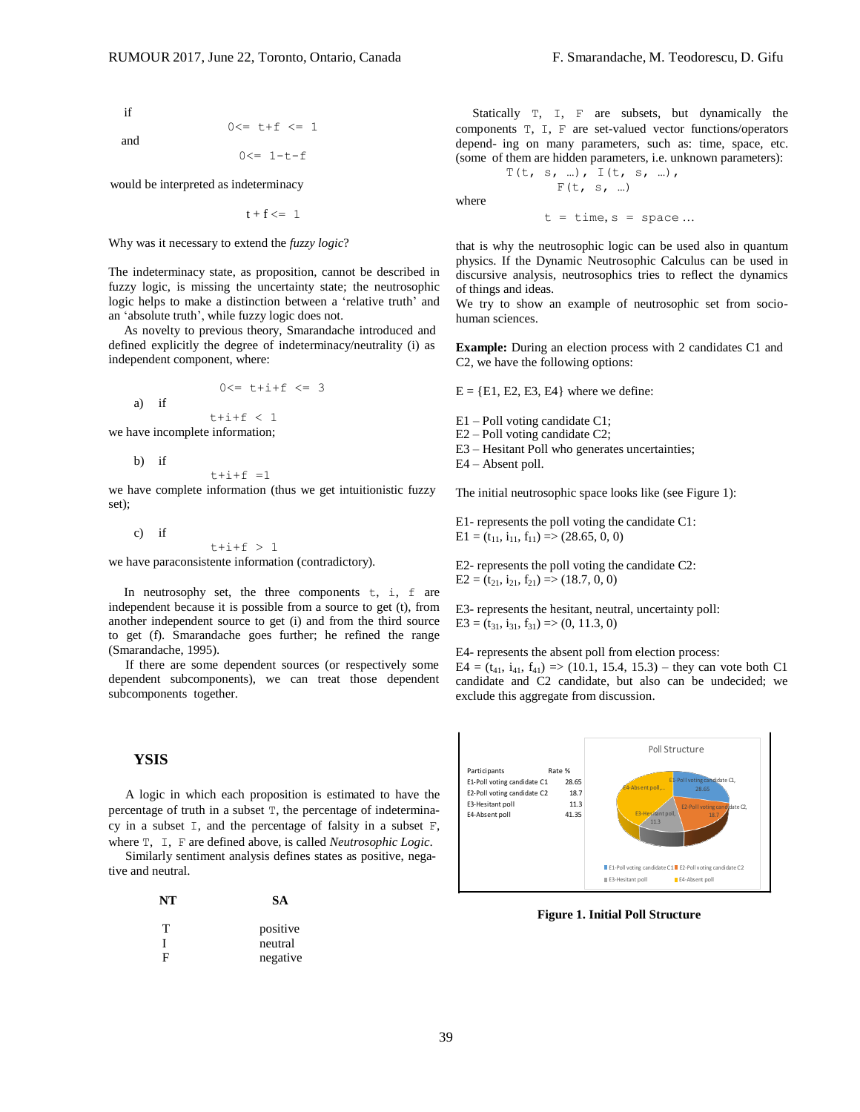if and

$$
0\leq = t+f \leq 1
$$

$$
0\leq -1-t-f
$$

would be interpreted as indeterminacy

 $t + f \leq 1$ 

Why was it necessary to extend the *fuzzy logic*?

The indeterminacy state, as proposition, cannot be described in fuzzy logic, is missing the uncertainty state; the neutrosophic logic helps to make a distinction between a 'relative truth' and an 'absolute truth', while fuzzy logic does not.

As novelty to previous theory, Smarandache introduced and defined explicitly the degree of indeterminacy/neutrality (i) as independent component, where:

$$
0 \leq t + i + f \leq 3
$$

we have incomplete information;

b) if

a) if

 $t+i+f = 1$ 

we have complete information (thus we get intuitionistic fuzzy set);

c) if

 $t+i+f > 1$ 

we have paraconsistente information (contradictory).

In neutrosophy set, the three components  $t$ ,  $\dot{i}$ ,  $\dot{f}$  are independent because it is possible from a source to get (t), from another independent source to get (i) and from the third source to get (f). Smarandache goes further; he refined the range (Smarandache, 1995).

If there are some dependent sources (or respectively some dependent subcomponents), we can treat those dependent subcomponents together.

### **YSIS**

A logic in which each proposition is estimated to have the percentage of truth in a subset T, the percentage of indeterminacy in a subset I, and the percentage of falsity in a subset F, where T, I, F are defined above, is called *Neutrosophic Logic*.

Similarly sentiment analysis defines states as positive, negative and neutral.

| NT | <b>SA</b> |
|----|-----------|
| т  | positive  |
|    | neutral   |
| F  | negative  |

Statically T, I, F are subsets, but dynamically the components T, I, F are set-valued vector functions/operators depend- ing on many parameters, such as: time, space, etc. (some of them are hidden parameters, i.e. unknown parameters):

$$
T(t, s, ...), T(t, s, ...),
$$
  
  $F(t, s, ...)$   
where

 $t = time, s = space ...$ 

that is why the neutrosophic logic can be used also in quantum physics. If the Dynamic Neutrosophic Calculus can be used in discursive analysis, neutrosophics tries to reflect the dynamics of things and ideas.

We try to show an example of neutrosophic set from sociohuman sciences.

**Example:** During an election process with 2 candidates C1 and C2, we have the following options:

 $E = \{E1, E2, E3, E4\}$  where we define:

 $t+i+f < 1$  E1 – Poll voting candidate C1;

E2 – Poll voting candidate C2;

E3 – Hesitant Poll who generates uncertainties;

E4 – Absent poll.

The initial neutrosophic space looks like (see Figure 1):

E1- represents the poll voting the candidate C1:  $E1 = (t_{11}, i_{11}, f_{11}) \implies (28.65, 0, 0)$ 

E2- represents the poll voting the candidate C2:  $E2 = (t_{21}, i_{21}, f_{21}) \Rightarrow (18.7, 0, 0)$ 

E3- represents the hesitant, neutral, uncertainty poll:  $E3 = (t_{31}, i_{31}, f_{31}) \Rightarrow (0, 11.3, 0)$ 

E4- represents the absent poll from election process:  $E4 = (t_{41}, i_{41}, f_{41}) \Rightarrow (10.1, 15.4, 15.3)$  – they can vote both C1 candidate and C2 candidate, but also can be undecided; we exclude this aggregate from discussion.



**Figure 1. Initial Poll Structure**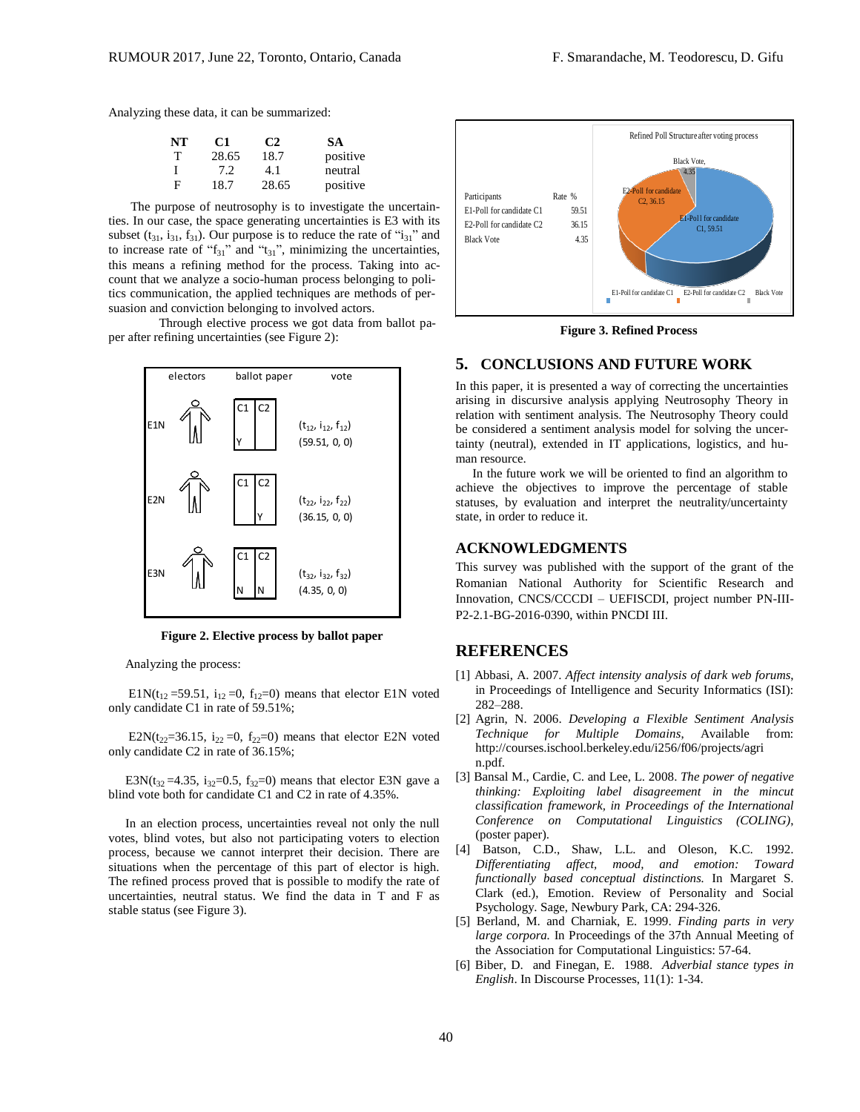Analyzing these data, it can be summarized:

| NT | C1    | C2    | SА       |
|----|-------|-------|----------|
| т  | 28.65 | 18.7  | positive |
|    | 7.2   | 4.1   | neutral  |
| F  | 18.7  | 28.65 | positive |

The purpose of neutrosophy is to investigate the uncertainties. In our case, the space generating uncertainties is E3 with its subset  $(t_{31}, i_{31}, f_{31})$ . Our purpose is to reduce the rate of " $i_{31}$ " and to increase rate of " $f_{31}$ " and " $t_{31}$ ", minimizing the uncertainties, this means a refining method for the process. Taking into account that we analyze a socio-human process belonging to politics communication, the applied techniques are methods of persuasion and conviction belonging to involved actors.

Through elective process we got data from ballot paper after refining uncertainties (see Figure 2):



**Figure 2. Elective process by ballot paper**

Analyzing the process:

E1N(t<sub>12</sub> = 59.51, i<sub>12</sub> = 0, f<sub>12</sub> = 0) means that elector E1N voted only candidate C1 in rate of 59.51%;

E2N(t<sub>22</sub>=36.15, i<sub>22</sub> =0, f<sub>22</sub>=0) means that elector E2N voted only candidate C2 in rate of 36.15%;

E3N( $t_{32}$ =4.35,  $i_{32}$ =0.5,  $f_{32}$ =0) means that elector E3N gave a blind vote both for candidate C1 and C2 in rate of 4.35%.

In an election process, uncertainties reveal not only the null votes, blind votes, but also not participating voters to election process, because we cannot interpret their decision. There are situations when the percentage of this part of elector is high. The refined process proved that is possible to modify the rate of uncertainties, neutral status. We find the data in T and F as stable status (see Figure 3).



**Figure 3. Refined Process**

# **5. CONCLUSIONS AND FUTURE WORK**

In this paper, it is presented a way of correcting the uncertainties arising in discursive analysis applying Neutrosophy Theory in relation with sentiment analysis. The Neutrosophy Theory could be considered a sentiment analysis model for solving the uncertainty (neutral), extended in IT applications, logistics, and human resource.

In the future work we will be oriented to find an algorithm to achieve the objectives to improve the percentage of stable statuses, by evaluation and interpret the neutrality/uncertainty state, in order to reduce it.

## **ACKNOWLEDGMENTS**

This survey was published with the support of the grant of the Romanian National Authority for Scientific Research and Innovation, CNCS/CCCDI – UEFISCDI, project number PN-III-P2-2.1-BG-2016-0390, within PNCDI III.

# **REFERENCES**

- [1] Abbasi, A. 2007. *Affect intensity analysis of dark web forums*, in Proceedings of Intelligence and Security Informatics (ISI): 282–288.
- [2] Agrin, N. 2006. *Developing a Flexible Sentiment Analysis Technique for Multiple Domains*, Available from: <http://courses.ischool.berkeley.edu/i256/f06/projects/agri> n.pdf.
- [3] Bansal M., Cardie, C. and Lee, L. 2008. *The power of negative thinking: Exploiting label disagreement in the mincut classification framework, in Proceedings of the International Conference on Computational Linguistics (COLING)*, (poster paper).
- [4] Batson, C.D., Shaw, L.L. and Oleson, K.C. 1992. *Differentiating affect, mood, and emotion: Toward functionally based conceptual distinctions.* In Margaret S. Clark (ed.), Emotion. Review of Personality and Social Psychology. Sage, Newbury Park, CA: 294-326.
- [5] Berland, M. and Charniak, E. 1999. *Finding parts in very large corpora.* In Proceedings of the 37th Annual Meeting of the Association for Computational Linguistics: 57-64.
- [6] Biber, D. and Finegan, E. 1988. *Adverbial stance types in English*. In Discourse Processes, 11(1): 1-34.